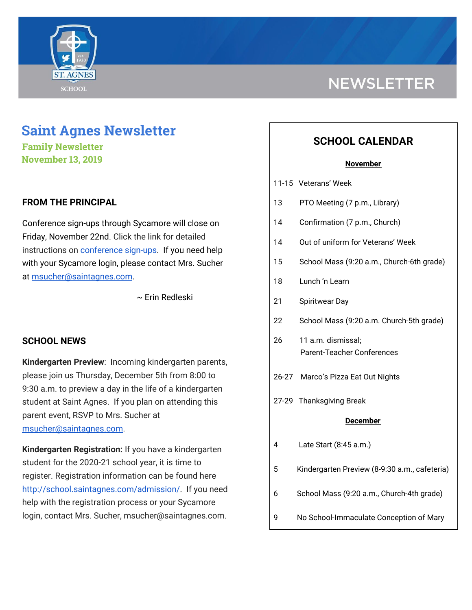

# **NEWSLETTER**

# **Saint Agnes Newsletter**

**Family Newsletter November 13, 2019**

# **FROM THE PRINCIPAL**

Conference sign-ups through Sycamore will close on Friday, November 22nd. Click the link for detailed instructions on **[conference](http://school.saintagnes.com/wp-content/uploads/2019/11/Parent-View-How-to-schedule-Conferences-2019.pdf) sign-ups**. If you need help with your Sycamore login, please contact Mrs. Sucher at [msucher@saintagnes.com.](mailto:msucher@saintagnes.com)

~ Erin Redleski

# **SCHOOL NEWS**

**Kindergarten Preview**: Incoming kindergarten parents, please join us Thursday, December 5th from 8:00 to 9:30 a.m. to preview a day in the life of a kindergarten student at Saint Agnes. If you plan on attending this parent event, RSVP to Mrs. Sucher at [msucher@saintagnes.com.](mailto:msucher@saintagnes.com)

**Kindergarten Registration:** If you have a kindergarten student for the 2020-21 school year, it is time to register. Registration information can be found here <http://school.saintagnes.com/admission/>. If you need help with the registration process or your Sycamore login, contact Mrs. Sucher, msucher@saintagnes.com.

# **SCHOOL CALENDAR**

#### **November**

- 11-15 Veterans' Week
- 13 PTO Meeting (7 p.m., Library)
- 14 Confirmation (7 p.m., Church)
- 14 Out of uniform for Veterans' Week
- 15 School Mass (9:20 a.m., Church-6th grade)
- 18 Lunch 'n Learn
- 21 Spiritwear Day
- 22 School Mass (9:20 a.m. Church-5th grade)
- 26 11 a.m. dismissal; Parent-Teacher Conferences
- 26-27 Marco's Pizza Eat Out Nights
- 27-29 Thanksgiving Break

#### **December**

- 4 Late Start (8:45 a.m.)
- 5 Kindergarten Preview (8-9:30 a.m., cafeteria)
- 6 School Mass (9:20 a.m., Church-4th grade)
- 9 No School-Immaculate Conception of Mary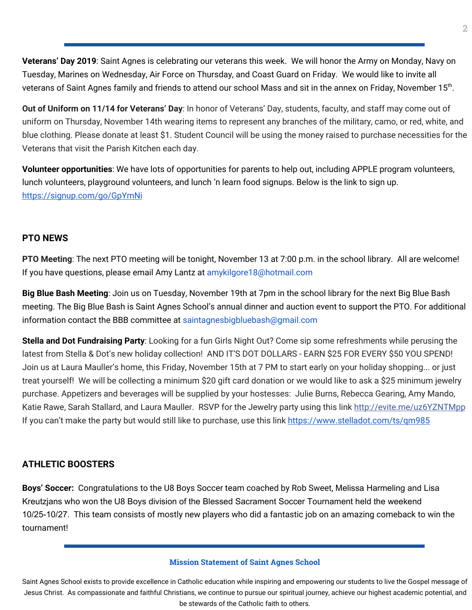**Veterans' Day 2019**: Saint Agnes is celebrating our veterans this week. We will honor the Army on Monday, Navy on Tuesday, Marines on Wednesday, Air Force on Thursday, and Coast Guard on Friday. We would like to invite all veterans of Saint Agnes family and friends to attend our school Mass and sit in the annex on Friday, November 15<sup>th</sup>.

**Out of Uniform on 11/14 for Veterans' Day**: In honor of Veterans' Day, students, faculty, and staff may come out of uniform on Thursday, November 14th wearing items to represent any branches of the military, camo, or red, white, and blue clothing. Please donate at least \$1. Student Council will be using the money raised to purchase necessities for the Veterans that visit the Parish Kitchen each day.

**Volunteer opportunities**: We have lots of opportunities for parents to help out, including APPLE program volunteers, lunch volunteers, playground volunteers, and lunch 'n learn food signups. Below is the link to sign up. <https://signup.com/go/GpYmNi>

### **PTO NEWS**

**PTO Meeting**: The next PTO meeting will be tonight, November 13 at 7:00 p.m. in the school library. All are welcome! If you have questions, please email Amy Lantz at amykilgore18@hotmail.com

**Big Blue Bash Meeting**: Join us on Tuesday, November 19th at 7pm in the school library for the next Big Blue Bash meeting. The Big Blue Bash is Saint Agnes School's annual dinner and auction event to support the PTO. For additional information contact the BBB committee at saintagnesbigbluebash@gmail.com

**Stella and Dot Fundraising Party**: Looking for a fun Girls Night Out? Come sip some refreshments while perusing the latest from Stella & Dot's new holiday collection! AND IT'S DOT DOLLARS - EARN \$25 FOR EVERY \$50 YOU SPEND! Join us at Laura Mauller's home, this Friday, November 15th at 7 PM to start early on your holiday shopping... or just treat yourself! We will be collecting a minimum \$20 gift card donation or we would like to ask a \$25 minimum jewelry purchase. Appetizers and beverages will be supplied by your hostesses: Julie Burns, Rebecca Gearing, Amy Mando, Katie Rawe, Sarah Stallard, and Laura Mauller. RSVP for the Jewelry party using this link [http://evite.me/uz6YZNTMpp](https://l.facebook.com/l.php?u=http%3A%2F%2Fevite.me%2Fuz6YZNTMpp%3Ffbclid%3DIwAR2BsMYwEgRbELffyYxRlOm9sIHBqyxdm_lKfpBXPwHzIh8zNFAyH7uMEVA&h=AT3P428uqpdWjrjnkrC_kT5aF-tJYGgAj5SK5mxkl4kk-PVdlmju6YxuxuI-cltZ0nXgreRNX_R_I30Kuvj9UqF6IcKB_l11t9LwQyTeidDgCjVDvr5Zwvzjlyecw2jGoj_TYrc3gc940rrM01pphN4_4pTQwwDP_NZw0kX4NII2DR0) If you can't make the party but would still like to purchase, use this link [https://www.stellado](https://www.stellado/)[t.com/ts/qm985](http://t.com/ts/qm985)

# **ATHLETIC BOOSTERS**

**Boys' Soccer:** Congratulations to the U8 Boys Soccer team coached by Rob Sweet, Melissa Harmeling and Lisa Kreutzjans who won the U8 Boys division of the Blessed Sacrament Soccer Tournament held the weekend 10/25-10/27. This team consists of mostly new players who did a fantastic job on an amazing comeback to win the tournament!

#### **Mission Statement of Saint Agnes School**

Saint Agnes School exists to provide excellence in Catholic education while inspiring and empowering our students to live the Gospel message of Jesus Christ. As compassionate and faithful Christians, we continue to pursue our spiritual journey, achieve our highest academic potential, and be stewards of the Catholic faith to others.